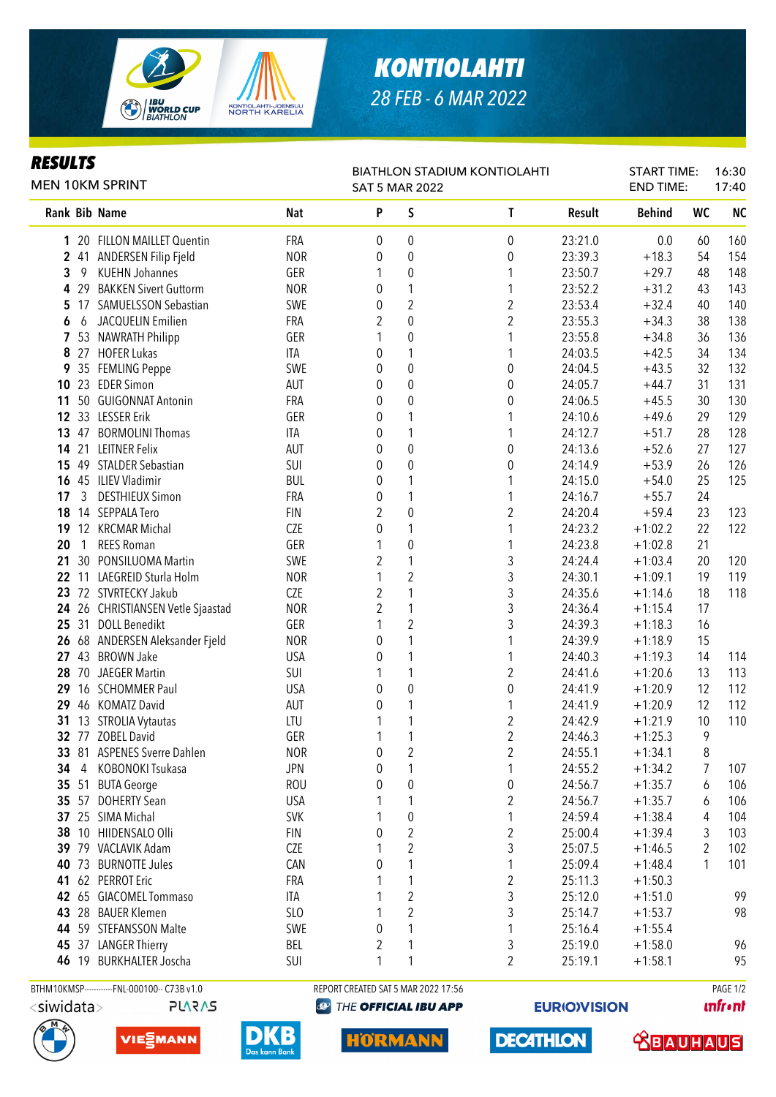

## *KONTIOLAHTI 28 FEB - 6 MAR 2022*

| <b>RESULTS</b><br><b>MEN 10KM SPRINT</b> |                |                                   | <b>BIATHLON STADIUM KONTIOLAHTI</b><br><b>SAT 5 MAR 2022</b> |                |                  |                         | <b>START TIME:</b><br><b>END TIME:</b> |               | 16:30<br>17:40 |           |
|------------------------------------------|----------------|-----------------------------------|--------------------------------------------------------------|----------------|------------------|-------------------------|----------------------------------------|---------------|----------------|-----------|
|                                          |                | Rank Bib Name                     | <b>Nat</b>                                                   | P              | S                | L                       | Result                                 | <b>Behind</b> | WC             | <b>NC</b> |
| 1                                        |                | 20 FILLON MAILLET Quentin         | FRA                                                          | 0              | $\boldsymbol{0}$ | 0                       | 23:21.0                                | 0.0           | 60             | 160       |
| 2                                        |                | 41 ANDERSEN Filip Fjeld           | <b>NOR</b>                                                   | 0              | $\boldsymbol{0}$ | 0                       | 23:39.3                                | $+18.3$       | 54             | 154       |
| 3                                        | 9              | <b>KUEHN Johannes</b>             | GER                                                          | 1              | $\boldsymbol{0}$ | 1                       | 23:50.7                                | $+29.7$       | 48             | 148       |
| 4                                        | 29             | <b>BAKKEN Sivert Guttorm</b>      | <b>NOR</b>                                                   | 0              | $\mathbf{1}$     | 1                       | 23:52.2                                | $+31.2$       | 43             | 143       |
| 5                                        | 17             | SAMUELSSON Sebastian              | SWE                                                          | 0              | $\overline{2}$   | $\overline{c}$          | 23:53.4                                | $+32.4$       | 40             | 140       |
| 6                                        | 6              | JACQUELIN Emilien                 | FRA                                                          | 2              | $\pmb{0}$        | $\overline{2}$          | 23:55.3                                | $+34.3$       | 38             | 138       |
| 7                                        |                | 53 NAWRATH Philipp                | GER                                                          | 1              | $\pmb{0}$        | 1                       | 23:55.8                                | $+34.8$       | 36             | 136       |
| 8                                        |                | 27 HOFER Lukas                    | ITA                                                          | 0              | $\mathbf{1}$     | 1                       | 24:03.5                                | $+42.5$       | 34             | 134       |
| 9                                        |                | 35 FEMLING Peppe                  | SWE                                                          | 0              | $\mathbf 0$      | 0                       | 24:04.5                                | $+43.5$       | 32             | 132       |
| 10                                       |                | 23 EDER Simon                     | AUT                                                          | 0              | $\mathbf 0$      | 0                       | 24:05.7                                | $+44.7$       | 31             | 131       |
| 11                                       |                | 50 GUIGONNAT Antonin              | FRA                                                          | 0              | $\mathbf 0$      | 0                       | 24:06.5                                | $+45.5$       | 30             | 130       |
|                                          |                | 12 33 LESSER Erik                 | GER                                                          | 0              | 1                | 1                       | 24:10.6                                | $+49.6$       | 29             | 129       |
| 13                                       | 47             | <b>BORMOLINI Thomas</b>           | ITA                                                          | 0              | 1                | 1                       | 24:12.7                                | $+51.7$       | 28             | 128       |
|                                          |                | 14 21 LEITNER Felix               | AUT                                                          | 0              | $\boldsymbol{0}$ | 0                       | 24:13.6                                | $+52.6$       | 27             | 127       |
|                                          |                | 15 49 STALDER Sebastian           | SUI                                                          | 0              | $\boldsymbol{0}$ | 0                       | 24:14.9                                | $+53.9$       | 26             | 126       |
|                                          |                | 16 45 ILIEV Vladimir              | <b>BUL</b>                                                   | 0              | 1                | 1                       | 24:15.0                                | $+54.0$       | 25             | 125       |
| 17                                       | 3              | <b>DESTHIEUX Simon</b>            | FRA                                                          | 0              | 1                | 1                       | 24:16.7                                | $+55.7$       | 24             |           |
| 18                                       |                | 14 SEPPALA Tero                   | <b>FIN</b>                                                   | 2              | $\boldsymbol{0}$ | 2                       | 24:20.4                                | $+59.4$       | 23             | 123       |
| 19                                       |                | 12 KRCMAR Michal                  | <b>CZE</b>                                                   | 0              | 1                | 1                       | 24:23.2                                | $+1:02.2$     | 22             | 122       |
| 20                                       | $\overline{1}$ | <b>REES Roman</b>                 | GER                                                          | 1              | $\boldsymbol{0}$ | 1                       | 24:23.8                                | $+1:02.8$     | 21             |           |
| 21                                       |                | 30 PONSILUOMA Martin              | SWE                                                          | 2              | 1                | 3                       | 24:24.4                                | $+1:03.4$     | 20             | 120       |
|                                          |                | 22 11 LAEGREID Sturla Holm        | <b>NOR</b>                                                   | 1              | $\overline{2}$   | 3                       | 24:30.1                                | $+1:09.1$     | 19             | 119       |
| 23                                       |                | 72 STVRTECKY Jakub                | CZE                                                          | $\overline{2}$ | $\mathbf{1}$     | 3                       | 24:35.6                                | $+1:14.6$     | 18             | 118       |
|                                          |                | 24 26 CHRISTIANSEN Vetle Sjaastad | <b>NOR</b>                                                   | $\overline{2}$ | $\mathbf{1}$     | 3                       | 24:36.4                                | $+1:15.4$     | 17             |           |
| 25                                       |                | 31 DOLL Benedikt                  | GER                                                          | 1              | $\overline{2}$   | 3                       | 24:39.3                                | $+1:18.3$     | 16             |           |
| 26                                       |                | 68 ANDERSEN Aleksander Fjeld      | <b>NOR</b>                                                   | 0              | $\mathbf{1}$     | 1                       | 24:39.9                                | $+1:18.9$     | 15             |           |
| 27                                       |                | 43 BROWN Jake                     | <b>USA</b>                                                   | 0              | $\mathbf{1}$     | 1                       | 24:40.3                                | $+1:19.3$     | 14             | 114       |
| 28                                       | 70             | <b>JAEGER Martin</b>              | SUI                                                          |                | 1                | $\overline{c}$          | 24:41.6                                | $+1:20.6$     | 13             | 113       |
| 29                                       |                | 16 SCHOMMER Paul                  | <b>USA</b>                                                   | 0              | $\boldsymbol{0}$ | 0                       | 24:41.9                                | $+1:20.9$     | 12             | 112       |
| 29                                       |                | 46 KOMATZ David                   | AUT                                                          | 0              | 1                | 1                       | 24:41.9                                | $+1:20.9$     | 12             | 112       |
| 31                                       |                | 13 STROLIA Vytautas               | LTU                                                          |                | 1                | $\overline{2}$          | 24:42.9                                | $+1:21.9$     | 10             | 110       |
|                                          |                | 32 77 ZOBEL David                 | GER                                                          |                |                  | $\overline{c}$          | 24:46.3                                | $+1:25.3$     | 9              |           |
|                                          |                | 33 81 ASPENES Sverre Dahlen       | <b>NOR</b>                                                   | 0              | 2                | 2                       | 24:55.1                                | $+1:34.1$     | 8              |           |
| 34                                       | 4              | KOBONOKI Tsukasa                  | <b>JPN</b>                                                   | 0              | 1                | 1                       | 24:55.2                                | $+1:34.2$     | 7              | 107       |
| 35 <sub>5</sub>                          |                | 51 BUTA George                    | <b>ROU</b>                                                   | 0              | $\pmb{0}$        | 0                       | 24:56.7                                | $+1:35.7$     | 6              | 106       |
|                                          |                | 35 57 DOHERTY Sean                | <b>USA</b>                                                   | 1              | 1                | 2                       | 24:56.7                                | $+1:35.7$     | 6              | 106       |
|                                          |                | 37 25 SIMA Michal                 | <b>SVK</b>                                                   |                | $\pmb{0}$        | 1                       | 24:59.4                                | $+1:38.4$     | 4              | 104       |
| 38                                       |                | 10 HIIDENSALO Olli                | <b>FIN</b>                                                   | 0              | $\overline{2}$   | $\overline{\mathbf{c}}$ | 25:00.4                                | $+1:39.4$     |                | 103       |
| 39                                       |                | 79 VACLAVIK Adam                  | <b>CZE</b>                                                   |                | $\boldsymbol{2}$ | 3                       | 25:07.5                                | $+1:46.5$     | 3              | 102       |
| 40                                       |                | 73 BURNOTTE Jules                 | CAN                                                          | 0              | 1                | 1                       | 25:09.4                                |               | 2<br>1         |           |
|                                          |                | 62 PERROT Eric                    |                                                              | 1              |                  |                         |                                        | $+1:48.4$     |                | 101       |
| 41                                       |                |                                   | FRA                                                          |                | 1                | $\boldsymbol{2}$        | 25:11.3                                | $+1:50.3$     |                |           |
| 42                                       |                | 65 GIACOMEL Tommaso               | ITA                                                          | 1              | $\boldsymbol{2}$ | 3                       | 25:12.0                                | $+1:51.0$     |                | 99        |
| 43                                       |                | 28 BAUER Klemen                   | SL <sub>0</sub>                                              | 1              | $\overline{2}$   | 3                       | 25:14.7                                | $+1:53.7$     |                | 98        |
| 44                                       |                | 59 STEFANSSON Malte               | <b>SWE</b>                                                   | 0              | 1                | 1                       | 25:16.4                                | $+1:55.4$     |                |           |
|                                          |                | 45 37 LANGER Thierry              | <b>BEL</b>                                                   | $\overline{2}$ | 1                | 3                       | 25:19.0                                | $+1:58.0$     |                | 96        |
| 46                                       |                | 19 BURKHALTER Joscha              | SUI                                                          | 1              | 1                | $\overline{c}$          | 25:19.1                                | $+1:58.1$     |                | 95        |

**PLARAS** 







BTHM10KMSP-----------FNL-000100-- C73B v1.0 REPORT CREATED SAT 5 MAR 2022 17:56 PAGE 1/2 **@ THE OFFICIAL IBU APP** 

**HORMANN** 

**EURIO)VISION** 

**DECATHLON** 

**unfront** 

**SBAUHAUS**